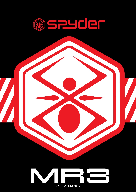

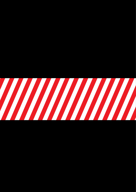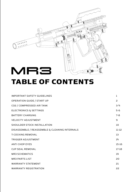

# TABLE OF CONTENTS

| <b>IMPORTANT SAFETY GUIDELINES</b>            | ı            |
|-----------------------------------------------|--------------|
| OPERATION GUIDE / START UP                    | 2            |
| CO2 / COMPRESSED AIR TANK                     | $3 - 4$      |
| ELECTRONICS & SETTINGS                        | $5 - 6$      |
| BATTERY CHARGING                              | $7 - 8$      |
| <b>VELOCITY ADJUSTMENT</b>                    | $\mathbf{9}$ |
| SHOULDER STOCK INSTALLATION                   | 10           |
| DISASSEMBLE / REASSEMBLE & CLEANING INTERNALS | 11-12        |
| <b>T-COCKING REMOVAL</b>                      | 13           |
| TRIGGER ADJUSTMENT                            | 14           |
| ANTI CHOP EYES                                | 15-16        |
| <b>CUP SEAL REMOVAL</b>                       | 17-18        |
| <b>MR3 SCHEMATICS</b>                         | 19           |
| <b>MR3 PARTS LIST</b>                         | 20           |
| <b>WARRANTY STATEMENT</b>                     | 21           |
| <b>WARRANTY REGISTRATION</b>                  | 22           |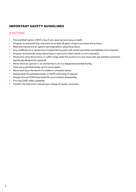# IMPORTANT SAFETY GUIDELINES

## !CAUTION!

- This paintball marker is NOT a toy; It can cause serious injury or death.
- Kingman recommends that customers be at least 18 years of age to purchase this product.
- Read this manual and air system warnings before using this product.
- Any modifications or tampering of original factory parts will void all warranties and liabilities from Kingman.
- Kingman recommends using a barrel plug or barrel sock when marker is not in operation.
- All persons using this product, or within range while this product is in use, must wear eye and face protection specifically designed for paintball.
- Never shoot at a person or an animal that is not in a designated paintball facility.
- Treat every paintball marker as if it were loaded.
- Never look down the barrel of a loaded or unloaded marker.
- Always keep the paintball marker on SAFE until ready to operate.
- Always remove CO2/Compressed Air source before disassembly.
- Fire only 0.68 caliber paintballs.
- Transfer this instruction manual upon change of marker ownership.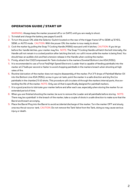## OPERATION GUIDE / START UP

WARNING: Always keep the marker powered off or on SAFE until you are ready to shoot.

- 1. To install and charge the battery see pages 6 and 8.
- 2. To turn the power ON, slide the Selector Switch located on the rear of the trigger frame UP to SEMI w/ EYES, SEMI, or AUTO mode. CAUTION: With the power ON, the marker is now ready to shoot.
- 3. Cock the marker by pulling the Snap T-Cocking Handle (#266) rearward until it latches. CAUTION: If you let go before the handle latches, your marker may fire. NOTE: The Snap T-Cocking Handle will latch the bolt internally, the Handle will not remain in a cocked position after latching the bolt, nor will it move while the marker is being fired. You should hear an audible click and feel a tension release in the Handle when cocking the marker.
- $\frac{\mathsf{L}}{\mathsf{L}}$ . Firmly, attach the CO2/Compressed Air Tank clockwise to the markers Dovetail Bottom Line ASA (#261).
- 5. It is recommended to use a Force Fed/High Speed Electronic Loader that is capable of feeding paintballs into the marker at 17 balls per second or faster to avoid chopping paintballs in the markers breach when shooting at high rates of fire.
- $6.$  Routine lubrication of the marker does not require disassembly of the marker. Put 3-4 drops of Paintball Marker Oil into the Bottom Line ASA (#261), screw in your air tank, point the marker in a safe direction and dry fire (no paintballs in the chamber) 5-10 shots. This procedure will circulate oil through the markers internal parts, thus extending the life of the marker. NOTE: Only use oil that is specifically designed for paintball markers.
- It is a good practice to lubricate your marker before and after each use, especially when storing the marker for an 7. extended period of time.
- 8. When you are finished shooting the marker, be sure to remove the Loader and all paintballs before storing. NOTE: There may be a paintball in the breach of the marker, take a couple of shots in a safe direction to make sure that the Barrel and breach are empty.
- 9. Place the Barrel Plug into the Barrel to avoid accidental discharge of the marker. Turn the marker OFF and slowly unscrew the air source tank. CAUTION: Do not remove the Tank Valve from the Tank, doing so may cause serious injury or death.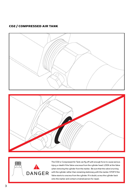# CO2 / COMPRESSED AIR TANK





The CO2 or Compressed Air Tank can fly off with enough force to cause serious injury or death if the Valve unscrews from the cylinder head. LOOK at the Valve when removing the cylinder from the marker. Be sure that the valve is turning with the cylinder rather than remaining stationary with the marker. STOP if the Valve starts to unscrew from the cylinder. If in doubt, screw the cylinder back onto the marker and contact a trained person for repair.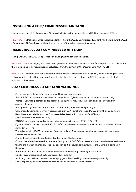# INSTALLING A CO2 / COMPRESSED AIR TANK

Firmly, attach the CO2 / Compressed Air Tank clockwise to the markers Dovetail Bottom Line ASA (#261).

HELPFUL TIP: Make sure when installing a tank, to have the CO2 / Commpressed Air Tank filled. Make sure the CO2 / Compressed Air Tank has a bottle o-ring on the top of the valve to prevent air leaks.

## REMOVING A CO2 / COMPRESSED AIR TANK

Firmly, unscrew the CO2 / Compressed Air Tank by turning counter-clockwise.

HELPFUL TIP: After playing with the marker, you should ALWAYS remove the CO2 / Commpressed Air Tank. When the Tank is being removed, excess air will release from the bottom of the Dovetail Line ASA (#261).

IMPORTANT: Never expose any skin underneath the Dovetail Bottom Line ASA (#261) when removing the Tank. This can run the risk getting skin burn from releasing the GAS. Never store any CO2 / Comppressed Air Tank attached to the marker.

## CO2 / COMPRESSED AIR TANK WARNINGS

- All valves must only be installed or removed by a qualified airsmith.
- See CO2 / Compressed Air tank labels for retest dates. Cylinder tanks must be retested periodically.
- Improper use, filling, storage or disposal of all air cylinders may result in death, personal injury and/or property damage.
- Always keep cylinders out of reach from children or any inexperienced person(s).
- Only properly trained personnel in accordance with CGA Pamphlets P.1 and G-6.3 must fill all air cylinders. Pamphlets are available from the Compressed Gas Association or www.CGANET.com.
- Never alter the cylinder in any way.
- DO NOT expose pressurized cylinders to temperatures in excess of 130˚F (54˚C).
- Cylinders heated to an excess of 250 $\degree$ F (121 $\degree$ C) must be condemned or requalified in accordance with test defined in CFR-49.
- The valve should NEVER be detached from the canister. Please seek immediate assistance from a trained airsmith should this occur.
- Any tank packed with the product is intended for paintball use only.
- Confirm that there is an attached urethane O-ring on the CO2 / Compressed Air tank valve before attaching the tank to the marker. The tank will leak air as soon as it is secured to the marker, if the O-ring is missing from the valve.
- A urethane O-ring is highly recommended before attaching any air supply to the marker.
- NEVER over pressurize a CO2 / Compressed Air cylinder.
- Avoid any direct skin exposure to the escaping gas, when installing or removing any air supply.
- Never expose cylinders to corrosive materials or clean with any caustic cleaners.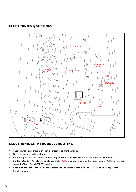# ELECTRONICS & SETTINGS



# ELECTRONIC GRIP TROUBLESHOOTING

- Check to make sure there is enough air pressure to fire the marker.
- Battery may need to be recharged.
- If the Trigger is not functioning, turn the Trigger Screw (#298) clockwise to shorten the gap between the Touch Switch (#272) using an allen wrench. NOTE: Do not over extend the Trigger Screw (#298) for this can cause the Touch Switch (#272) to stick.
- Everytime the trigger set screws are repositioned use thread locker "Loc-Tite" 242 (Blue color) to prevent from loosening.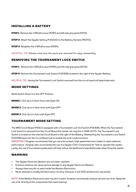#### INSTALLING A BATTERY

STEP 1 Remove the 3 M4x8 screws (#294) and left side grip panel (#270).

STEP 2 Attach the Spyder battery (#JE1015) to the Battery Harness (#E24A).

**STEP 3** Retighten the 3 M<sup>4x</sup>8 screws (#294).

HELPFUL TIP: Please note how the parts are removed for easy reassembly.

#### REMOVING THE TOURNAMENT LOCK SWITCH

STEP 1 Remove the 3 M4x8 screws (#294) and left side grip panel (#270).

STEP 2 Remove the Tournament Lock Switch (#JE30B) located to the right of the Spyder Battery.

HELPFUL TIP: Having the Tournament Lock Switch removed from the circuit board will deactivate auto.

#### MODE SETTINGS

Mode Switch Down is in the OFF Position.

MODE 1 Click Up is in Semi-Auto with Eyes ON.

MODE 2 Click Up is in Semi-Auto with Eyes OFF.

MODE 3 Click Up is in Auto with Eyes OFF.

#### TOURNAMENT MODE SETTING

The MR3 Circuit Board (#331) is equipped with a Tournament Lock Out Switch (#JE30B). When the Tournament Lock Switch is removed from the Circuit Board the marker can only fire in SEMI-AUTO. The Tournament Lock Switch is located on the internal Circuit Board to the right of the Battery. Reattaching the Tournament Lock Switch (#JE30B) back into the Circuit Board will re-enable the multi-mode functions.

IMPORTANT! Kingman recommends that you use a force feed / high speed electronic loader to reach optimum performance. Kingman also recommends the use of a Spyder CO2 / Compressed Air Tank to operate this marker. Lastly, the use of tournament grade paint will help reduce the likelihood of paintball breaks when firing the marker.

### WARNING

- The Spuder Electronic Markers are not water resistant.
- Extreme moisture can cause serious damage to any Spyder Electronic Markers.
- Always clean any dirt or paint inside the Markers Electronics.
- Never attempt to modify the Electronics circuitry. Doing so, it will VOID all electronic warranties.

NOTE: If the Markers Electronics have any dirt or paint, Kingman recommends using an aerosol can of air. Apply the can of air directly at the components that need cleaning.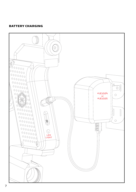# BATTERY CHARGING

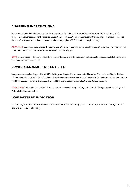## CHARGING INSTRUCTIONS

To charge a Spyder 9.6 NiMH Battery the circuit board must be in the OFF Position. Spyder Batteries (#JE1015) are not fully charged when purchased. Using the supplied Spyder Charger (#JE1024) place the charger in the charging port which is located at the rear of the trigger frame. Kingman recommends a charging time of 6-8 hours for a complete charge.

IMPORTANT: You should never charge the battery over 24 hours or you can run the risk of damaging the battery or electronics. The battery charger will continue to power until removed from charging port.

NOTE: It is recommended that the battery be chagred prior to use in order to ensure maximum performance, especially if the battery has not been used in over a week.

## SPYDER 9.6 NiMH BATTERY LIFE

Always use the supplied Spyder 9.6volt NiMH Battery and Spyder Charger to operate this marker. A fully charged Spyder Battery will last about 3000 to 5000 shots. Number of shots depends on the settings of your firing methods. Under normal use and charging conditions the expected life of the Spyder 9.6 NiMH Battery to last approximately 700-1000 charging cycles.

WARNING: This marker is not attended to use any normal 9 volt battery or chargers that are NON Spyder Products. Doing so will VOID all electronic warranties.

## LOW BATTERY INDICATOR

The LED light located beneath the mode switch on the back of the grip will blink rapidly when the battery power is low and will require charging.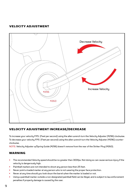### VELOCITY ADJUSTMENT



# VELOCITY ADJUSTMENT INCREASE/DECREASE

To increase your velocity FPS (Feet per second) using the allen wrench turn the Velocity Adjuster (#296) clockwise. To decrease your velocity FPS (Feet per second) using the allen wrench turn the Velocity Adjuster (#296) counterclockwise.

NOTE: Velocity Adjuster w/Spring Guide (#296) doesn't remove from the rear of the Striker Plug (#260).

#### WARNING

- The recommended Velocity speed should be no greater then 300fps. Not doing so can cause serious injury if the velocity is dangerously high.
- Paintball markers are not intended to shoot any person less then 25 feet.
- Never point a loaded marker at any person who is not wearing the proper face protection.
- Never at any time should you look down the barrel when the marker is loaded or not.
- Using a paintball marker outside a non designated paintball field can be illegal, and is subject to law enforcement penalties if property damage is caused by the user.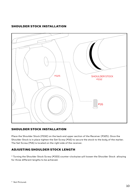## SHOULDER STOCK INSTALLATION



## SHOULDER STOCK INSTALLATION

Place the Shoulder Stock (#332) on the back end upper section of the Receiver (#325). Once the Shoulder Stock is in place tighten the Set Screw (#16) to secure the stock to the body of the marker. The Set Screw (#16) is located on the right side of the receiver.

## ADJUSTING SHOULDER STOCK LENGTH

\* Turning the Shoulder Stock Screw (#333) counter-clockwise will loosen the Shoulder Stock allowing for three different lengths to be achieved.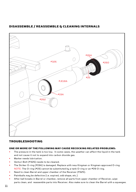

#### DISASSEMBLE / REASSEMBLE & CLEANING INTERNALS

#### TROUBLESHOOTING

#### ONE OR MORE OF THE FOLLOWING MAY CAUSE RECOCKING RELATED PROBLEMS:

- The pressure in the tank is too low. In some cases, the weather can affect the liquid in the tank and not cause it not to expand into carbon dioxide gas.
- Marker needs lubrication.
- Venturi Bolt (#326) needs to be cleaned.
- The Striker O-ring (#19A) is damaged. Replace with new Kingman or Kingman-approved O-ring. NOTE: The O-ring (#19) cannot be substituted by a tank O-ring or an #09 O-ring.
- Need to clean Barrel and upper chamber of the Receiver (#325).
- Paintballs may be defective (i.e. expired, odd shape, etc.)
- After ball breaks in Barrel or chamber, remove all parts from upper chamber of Receiver, wipe parts clean, and reassemble parts into Receiver. Also make sure to clean the Barrel with a squeegee.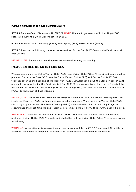## DISASSEMBLE REAR INTERNALS

STEP 1 Remove Quick Disconnect Pin (#262). NOTE: Place a finger over the Striker Plug (#260) before removing the Quick Disconnect Pin (#262)

STEP 2 Remove the Striker Plug (#262) Main Spring (#25) Striker Buffer (#26A).

STEP 3 Remove the following items at the same time. Striker Bolt (#JE18A) and the Delrin Venturi Blot (#326).

HELPFUL TIP: Please note how the parts are removed for easy reassembly.

## REASSEMBLE REAR INTERNALS

When reassembling the Delrin Venturi Bolt (#326) and Striker Bolt (#JE18A) the circuit board must be powered ON with the Eyes OFF. Join the Delrin Venturi Bolt (#326) and Striker Bolt (#JE18A) together entering the back end of the Receiver (#325). Simultaneously pull the Blade Trigger (#273) and apply pressure behind the Delrin Venturi Bolt (#326) to allow reentry of both parts. Reinstall the Striker Buffer (#26A), Striker Spring (#25) Striker Plug (#260) and press in the Quick Disconnect Pin (#262) to lock down all back internals.

HELPFUL TIP: When the back internals are removed it would be wise to clean any dirt or paint from inside the Receiver (#325) with a stick swab or cable squeegee. Wipe the Delrin Venturi Bolt (#326) with a rag or paper towel. The Striker O-Ring (#19A) will need to be oiled periodically. Kingman recommends that each time the back internals are removed the Striker O-Ring (#19A) should be oiled.

IMPORTANT: Never oil the Delrin Venturi Bolt (#326). This will swell the bolt and cause cocking problems. Striker Buffer (#26A) should be installed behind the Striker Bolt (#JE18A) to ensure proper functioning.

WARNING: Never attempt to remove the markers internals while the CO2 / Compressed Air bottle is attached. Make sure to remove all paintballs and loader before disassembling the marker.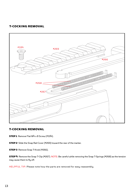## T-COCKING REMOVAL



#### T-COCKING REMOVAL

STEP 1 Remove Flat M4 x 8 Screw (#334).

STEP 2 Slide the Snap Rail Cover (#269) toward the rear of the marker.

STEP 3 Remove Snap T-Knob (#266).

STEP 4 Remove the Snap T-Clip (#267). NOTE: Be careful while removing the Snap T-Springs (#268) as the tension may cause them to fly off.

HELPFUL TIP: Please note how the parts are removed for easy reassembly.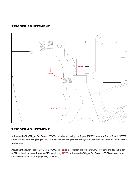## TRIGGER ADJUSTMENT



#### TRIGGER ADJUSTMENT

Adjusting the Top Trigger Set Screw (#298) clockwise will swing the Trigger (#273) closer the Touch Switch (#272) which will lessen the trigger gap. NOTE: Adjusting the Trigger Set Screw (#298) counter-clockwise will increase the trigger gap.

Adjusting the lower Trigger Set Screw (#298) clockwise will shorten the Trigger (#273) stroke to the Touch Switch (#272) this will increase Trigger (#273) sensitivity. NOTE: Adjusting the Trigger Set Screw (#298) counter-clockwise will decrease the Trigger (#273) sensitivity.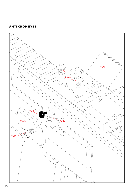## ANTI CHOP EYES

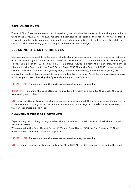## ANTI CHOP EYES

The Anti Chop Eyes help prevent chopping paint by not allowing the marker to fire until a paintball is in front of the Venturi Bolt. The Eyes transmit a beam across the inside of the breech. The Circuit Board is preset from the factory and does not need to be adjusted or altered. If the Eyes are ON and do not see each other when firing your marker, you will have to clean the Eyes.

## CLEANING THE ANTI CHOP EYES

Using a squeegee or swab thru the breech should clean the Eyes enough for the beams to detect each other. Another way is to use an aerosol can of air thru the breech to remove paint or dirt from the Eyes. To thoroughly clean the Eyes remove all M4 x 8 Screws (#294) (including the lower screw not pictured which holds the Feed Neck), the Eye / Detent Cover (#329) and the Feed Neck (#321) using an allen wrench. Once the M4 x 8 Screws (#294), Eye / Detent Cover (#329), and Feed Neck (#321) are removed, precede with a soft pinch to remove the Eye Wire Harness (#243) from the receiver. Remove all dirt or paint that is blocking the Eyes and causing it to malfunction.

HELPFUL TIP: Please note how the parts are removed for easy reassembly.

IMPORTANT: Cleaning the Eyes often will help reduce dirt, paint or oil residue that blocks the Eyes from seeing each other.

NOTE: Never attempt to rush the cleaning process or you can pinch the wires and cause the marker to malfunction with the Eye Mode ON. Take precaution not to over tighten the M4 x 8 Screw (#294) or this can lead stripping the head.

## CHANGING THE BALL DETENTS

Experiencing paint rolling through the barrel, can be related to small diameter of paintballs or the lost of a ball detent(s).

When removing the Eye / Detent Cover (#329) and Feed Neck (#321) the Ball Detents (#03) will become accessable to be cleaned or replaced.

HELPFUL TIP: Please note how the parts are removed for easy reassembly.

NOTE: Take precaution not to over tighten the M4 x 8 (#294) or this can lead to stripping the head.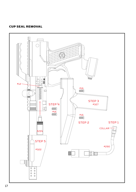## CUP SEAL REMOVAL

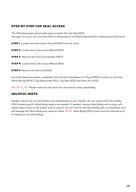## STEP BY STEP CUP SEAL ACCESS

The following steps will provide easy accessto the Cup Seal (#12). The sign of a worn out Cup Seal (#12) is the presence of CO2/Compressed Air leaking down the barrel.

**STEP 1** Loosen the Disconnect Hose (#290) from the collar.

**STEP 2** Loosen the 2 set screws M5x12 (#16).

**STEP 3** Remove the Fore Grip Handle (#327).

STEP 4 Loosen the 2 set screws M5x12 (#16).

**STEP 5** Remove the Shroud (#322).

Once the steps have been completed, this will allow the Reservoir Plug (#254) to slide out with the Valve Spring (#10C), Cup Seal Guide (#11), Cup Seal (#12) and Valve Pin (#13).

HELPFUL TIP: Please note how the parts are removed for easy reassembly.

## HELPFUL HINTS

Always remove the Air Tank before any disassembly of your marker. Do not remove the Valve Body (#14) unless specific Valve Body repairs are needed. If needed, remove Valve Body with a long, softtipped object such as the eraser end of a pencil. Do not remove the Valve Body with a screwdriver as it will damage the Valve Body and cause air leaks. NOTE: Valve Body (#15) screw must be removed prior to taking out the Valve Body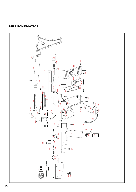# MR3 SCHEMATICS

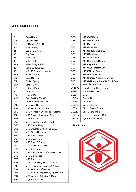# MR3 PARTS LIST

| Ol   | Barrel Plug                           |  |  |  |  |
|------|---------------------------------------|--|--|--|--|
| OЗ   | <b>Ball Stopper</b>                   |  |  |  |  |
| 09   | O-Ring #015 80D                       |  |  |  |  |
| 10C  | <b>Valve Spring</b>                   |  |  |  |  |
| 11   | Cup Seal Guide                        |  |  |  |  |
| 12   | Cup Seal                              |  |  |  |  |
| 13   | Valve Pin                             |  |  |  |  |
| 14   | Valve Body                            |  |  |  |  |
| 14A  | Valve Body Roll Pin                   |  |  |  |  |
| 15   | Valve Body Screw                      |  |  |  |  |
| 16   | M5 x 12 Screw w/ washer               |  |  |  |  |
| 19A  | Striker O-Ring                        |  |  |  |  |
| 20   | Barrel O-Ring                         |  |  |  |  |
| 25   | <b>Striker Spring</b>                 |  |  |  |  |
| 26A  | <b>Striker Buffer</b>                 |  |  |  |  |
| 37B  | Filter O-Ring                         |  |  |  |  |
| 37C  | Air Filter                            |  |  |  |  |
| 49   | <b>Trigger Pin</b>                    |  |  |  |  |
| 49B  | Sear Roll Pin (Small)                 |  |  |  |  |
| 49C  | Touch Switch Roll Pins                |  |  |  |  |
| 243  | <b>MR3 Wire Harness</b>               |  |  |  |  |
| 252  | MR3 Vertical / C/A Adapter            |  |  |  |  |
| 253  | MR3 Vertical / C/A to Hose Adapter    |  |  |  |  |
| 254  | MR3 Reservoir Adapter Plug            |  |  |  |  |
| 257  | MR3 Bolt Pin                          |  |  |  |  |
| 258  | MR3 Dovetail Drop Forward             |  |  |  |  |
| 260  | <b>MR3 Striker Plug</b>               |  |  |  |  |
| 261  | MR3 Dovetail Bottom-Line ASA          |  |  |  |  |
| 262  | <b>MR3 Quick Disconnect Pin</b>       |  |  |  |  |
| 266  | MR3 Snap T-Knob                       |  |  |  |  |
| 267  | MR3 Snap T-Clip                       |  |  |  |  |
| 268  | MR3 Snap T-Spring                     |  |  |  |  |
| 269  | <b>MR3 Snap Rail Cover</b>            |  |  |  |  |
| 270  | <b>MR3 Grip Panels</b>                |  |  |  |  |
| 272  | MR3 Touch Switch w/ Wire Harness      |  |  |  |  |
| 273  | <b>MR3 Blade Trigger</b>              |  |  |  |  |
| *276 | <b>MR3 Parts Kit</b>                  |  |  |  |  |
| 283  | MR3 Male STD / Female Metric          |  |  |  |  |
| 290  | MR3 Disconnect Hose 6.25" (black)     |  |  |  |  |
| 294  | M4 x 8 Screw w/ Washer                |  |  |  |  |
| 296  | MR3 Velocity Adjuster w/ Spring Guide |  |  |  |  |
| 297  | MR3 Velocity Adjuster O-Ring          |  |  |  |  |
| 298  | Trigger Set Screw                     |  |  |  |  |

| MR310" Barrel                       |  |  |  |
|-------------------------------------|--|--|--|
| MR3 Feed Neck                       |  |  |  |
| MR3 Shroud                          |  |  |  |
| <b>MR3 Rifle Sight</b>              |  |  |  |
| MR3 Rifle Sight Screw               |  |  |  |
| <b>MR3 Receiver</b>                 |  |  |  |
| <b>MR3 Delrin Bolt</b>              |  |  |  |
| <b>MR3 Fore Grip Handle</b>         |  |  |  |
| MR3 Sight Rail                      |  |  |  |
| MR3 Eye / Detent Cover              |  |  |  |
| <b>MR3 Trigger Frame</b>            |  |  |  |
| <b>MR3 Circuit Board</b>            |  |  |  |
| MR3 Miltary Adjustable Stock        |  |  |  |
| MR3 Military Adjustable Stock Screw |  |  |  |
| Flat M4 x 8 Screw                   |  |  |  |
| Drop Forward Lock Screw             |  |  |  |
| Battery Harness                     |  |  |  |
| Sear                                |  |  |  |
| <b>Striker Bolt</b>                 |  |  |  |
| Coil Set                            |  |  |  |
| Coil Set Screw                      |  |  |  |
| Circuit Board Screw                 |  |  |  |
| <b>ESP Sear Spring</b>              |  |  |  |
| 9.6v Rechargeable Battery           |  |  |  |
| A/C Charger - 110v                  |  |  |  |
|                                     |  |  |  |

#### \* Not Pictured

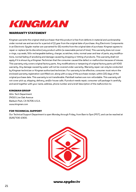

## WARRANTY STATEMENT

Kingman warrants the original retail purchaser that this product is free from defects in material and workmanship under normal use and service for a period of (1) year from the original date of purchase. Any Electronic Components in an Electronic Spyder marker are warranted for (6) months from the original date of purchase. Kingman agrees to repair or replace (at its discretion) any product within (a reasonable period of time). This warranty does not cover o-rings, cup seals, 9.6v rechargeable battery, charger, scratches, nicks, normal wear and tear of parts, any modifications, normal fading of anodizing and damage caused by dropping or hitting of products. This warranty shall not apply if it is shown by a Kingman Technician that the consumer caused the defect or malfunction because of misuse. This warranty only covers original factory parts. Any modifications or tampering of original factory parts will VOID warranty. Any damage caused by water will not be covered under warranty. Warranty repair can only be conducted by Kingman technician or Kingman authorized technician. For warranty to be effective, consumer must return the enclosed warranty registration card filled out, along with a copy of the purchase receipt, within (15) days of the original purchase date. This warranty is not transferable. Paintball markers are non-refundable. This warranty will not cover pick up, shipping, delivery, and/or house calls. If product needs repair, consumer will package it carefully and send together with your name, address, phone number and a brief description of the malfunction to:

#### KINGMAN GROUP

Attn: Tech Department 14010 Live Oak Avenue Baldwin Park, CA 91706 U.S.A. www.kingman.com

#### FOR TECHINICAL SUPPORT

Our Technical Support Department is open Monday through Friday, from 8am to 5pm (PST), and can be reached at (626) 430-2300.



## www.spyder.tv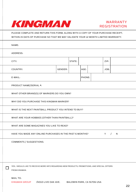

# WARRANTY REGISTRATION

PLEASE COMPLETE AND RETURN THIS FORM, ALONG WITH A COPY OF YOUR PURCHASE RECEIPT, WITHIN 15 DAYS OF PURCHASE SO THAT WE MAY VALIDATE YOUR 12 MONTH LIMITED WARRANTY.

| NAME:                                                                                                          |         |  |        |      |      |  |  |  |
|----------------------------------------------------------------------------------------------------------------|---------|--|--------|------|------|--|--|--|
| ADDRESS:                                                                                                       |         |  |        |      |      |  |  |  |
| CITY:                                                                                                          |         |  |        | ZIP: |      |  |  |  |
| COUNTRY:                                                                                                       | GENDER: |  | AGE:   |      | JOB: |  |  |  |
| $E-MAIL:$                                                                                                      |         |  | PHONE: |      |      |  |  |  |
| PRODUCT NAME/SERIAL #:                                                                                         |         |  |        |      |      |  |  |  |
| WHAT OTHER BRAND(S) OF MARKERS DO YOU OWN?                                                                     |         |  |        |      |      |  |  |  |
| WHY DID YOU PURCHASE THIS KINGMAN MARKER?                                                                      |         |  |        |      |      |  |  |  |
| WHAT IS THE NEXT PAINTBALL PRODUCT YOU INTEND TO BUY?                                                          |         |  |        |      |      |  |  |  |
| WHAT ARE YOUR HOBBIES (OTHER THAN PAINTBALL)?                                                                  |         |  |        |      |      |  |  |  |
| WHAT ARE SOME MAGAZINES YOU LIKE TO READ?                                                                      |         |  |        |      |      |  |  |  |
| HAVE YOU MADE ANY ONLINE PURCHASES IN THE PAST 6 MONTHS?<br>Y /<br>N                                           |         |  |        |      |      |  |  |  |
| COMMENTS / SUGGESTIONS:                                                                                        |         |  |        |      |      |  |  |  |
|                                                                                                                |         |  |        |      |      |  |  |  |
|                                                                                                                |         |  |        |      |      |  |  |  |
| YES, I WOULD LIKE TO RECEIVE MORE INFO REGARDING NEW PRODUCTS, PROMOTIONS, AND SPECIAL OFFERS<br>FROM KINGMAN. |         |  |        |      |      |  |  |  |

MAIL TO: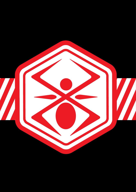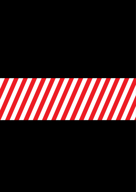